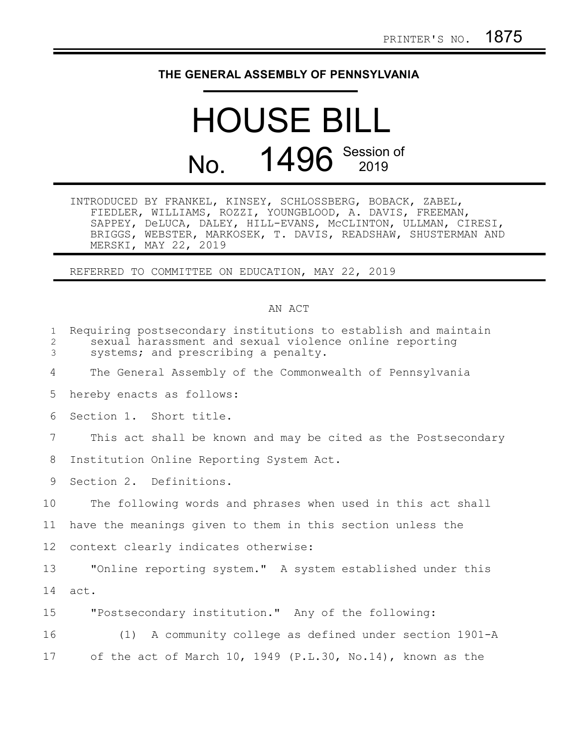## **THE GENERAL ASSEMBLY OF PENNSYLVANIA**

## HOUSE BILL No. 1496 Session of

| INTRODUCED BY FRANKEL, KINSEY, SCHLOSSBERG, BOBACK, ZABEL, |  |                                                               |
|------------------------------------------------------------|--|---------------------------------------------------------------|
| FIEDLER, WILLIAMS, ROZZI, YOUNGBLOOD, A. DAVIS, FREEMAN,   |  |                                                               |
|                                                            |  | SAPPEY, DeLUCA, DALEY, HILL-EVANS, MCCLINTON, ULLMAN, CIRESI, |
|                                                            |  | BRIGGS, WEBSTER, MARKOSEK, T. DAVIS, READSHAW, SHUSTERMAN AND |
| MERSKI, MAY 22, 2019                                       |  |                                                               |

REFERRED TO COMMITTEE ON EDUCATION, MAY 22, 2019

## AN ACT

| $\mathbf{1}$<br>2<br>3 | Requiring postsecondary institutions to establish and maintain<br>sexual harassment and sexual violence online reporting<br>systems; and prescribing a penalty. |
|------------------------|-----------------------------------------------------------------------------------------------------------------------------------------------------------------|
| 4                      | The General Assembly of the Commonwealth of Pennsylvania                                                                                                        |
| 5                      | hereby enacts as follows:                                                                                                                                       |
| 6                      | Section 1. Short title.                                                                                                                                         |
| 7                      | This act shall be known and may be cited as the Postsecondary                                                                                                   |
| 8                      | Institution Online Reporting System Act.                                                                                                                        |
| 9                      | Section 2. Definitions.                                                                                                                                         |
| 10 <sub>o</sub>        | The following words and phrases when used in this act shall                                                                                                     |
| 11                     | have the meanings given to them in this section unless the                                                                                                      |
| 12                     | context clearly indicates otherwise:                                                                                                                            |
| 13                     | "Online reporting system." A system established under this                                                                                                      |
| 14                     | act.                                                                                                                                                            |
| 15                     | "Postsecondary institution." Any of the following:                                                                                                              |
| 16                     | (1) A community college as defined under section 1901-A                                                                                                         |
| 17                     | of the act of March 10, 1949 (P.L.30, No.14), known as the                                                                                                      |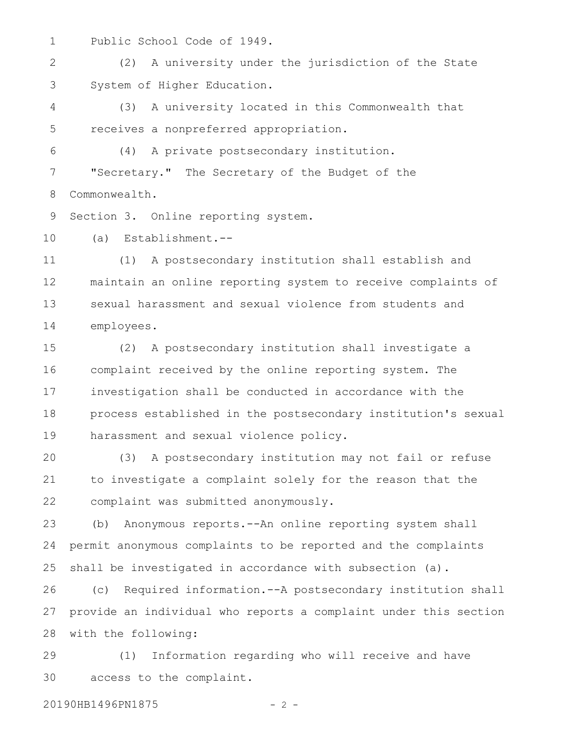Public School Code of 1949. 1

(2) A university under the jurisdiction of the State System of Higher Education. 2 3

(3) A university located in this Commonwealth that receives a nonpreferred appropriation. 4 5

(4) A private postsecondary institution. "Secretary." The Secretary of the Budget of the Commonwealth. 6 7 8

Section 3. Online reporting system. 9

(a) Establishment.-- 10

(1) A postsecondary institution shall establish and maintain an online reporting system to receive complaints of sexual harassment and sexual violence from students and employees. 11 12 13 14

(2) A postsecondary institution shall investigate a complaint received by the online reporting system. The investigation shall be conducted in accordance with the process established in the postsecondary institution's sexual harassment and sexual violence policy. 15 16 17 18 19

(3) A postsecondary institution may not fail or refuse to investigate a complaint solely for the reason that the complaint was submitted anonymously. 20 21 22

(b) Anonymous reports.--An online reporting system shall permit anonymous complaints to be reported and the complaints shall be investigated in accordance with subsection (a). 23 24 25

(c) Required information.--A postsecondary institution shall provide an individual who reports a complaint under this section with the following: 26 27 28

(1) Information regarding who will receive and have access to the complaint. 29 30

20190HB1496PN1875 - 2 -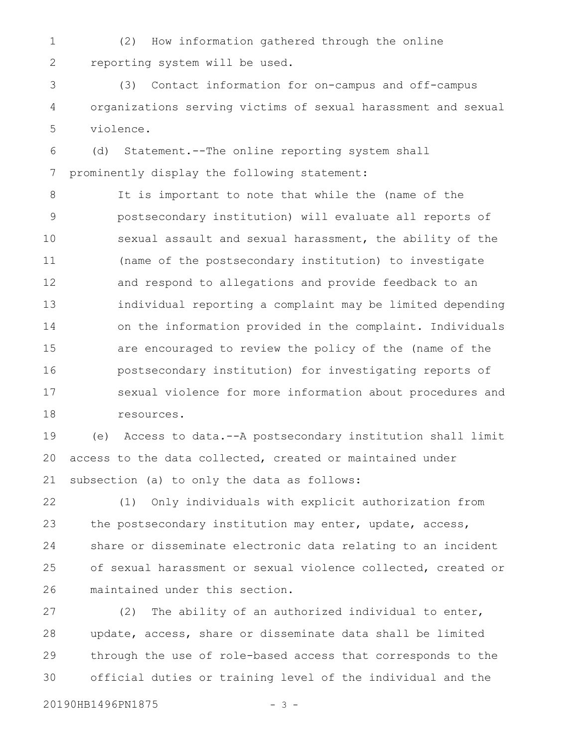(2) How information gathered through the online reporting system will be used. 1 2

(3) Contact information for on-campus and off-campus organizations serving victims of sexual harassment and sexual violence. 3 4 5

(d) Statement.--The online reporting system shall prominently display the following statement: 6 7

It is important to note that while the (name of the postsecondary institution) will evaluate all reports of sexual assault and sexual harassment, the ability of the (name of the postsecondary institution) to investigate and respond to allegations and provide feedback to an individual reporting a complaint may be limited depending on the information provided in the complaint. Individuals are encouraged to review the policy of the (name of the postsecondary institution) for investigating reports of sexual violence for more information about procedures and resources. 8 9 10 11 12 13 14 15 16 17 18

(e) Access to data.--A postsecondary institution shall limit access to the data collected, created or maintained under subsection (a) to only the data as follows: 19 20 21

(1) Only individuals with explicit authorization from the postsecondary institution may enter, update, access, share or disseminate electronic data relating to an incident of sexual harassment or sexual violence collected, created or maintained under this section. 22 23 24 25 26

(2) The ability of an authorized individual to enter, update, access, share or disseminate data shall be limited through the use of role-based access that corresponds to the official duties or training level of the individual and the 27 28 29 30

20190HB1496PN1875 - 3 -